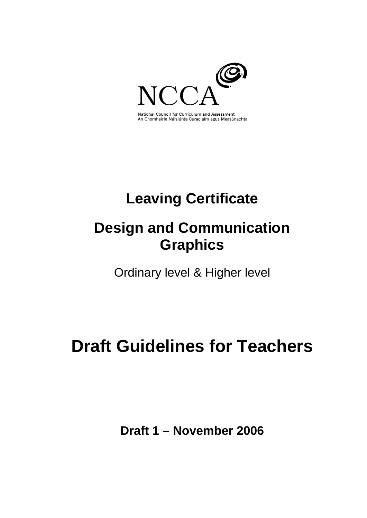

National Council for Curriculum and Assessment An Chomhairle Náisiúnta Curaclaim agus Measúnachta

# **Leaving Certificate**

## **Design and Communication Graphics**

Ordinary level & Higher level

# **Draft Guidelines for Teachers**

**Draft 1 – November 2006**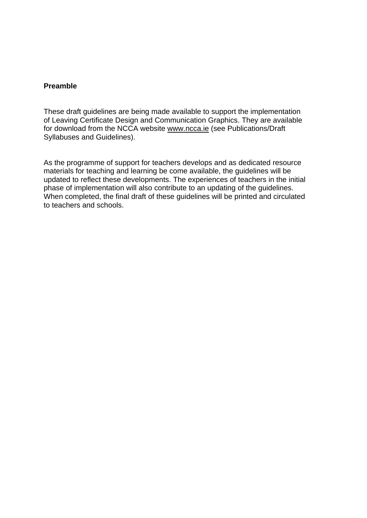## **Preamble**

These draft guidelines are being made available to support the implementation of Leaving Certificate Design and Communication Graphics. They are available for download from the NCCA website [www.ncca.ie](http://www.ncca.ie/) (see Publications/Draft Syllabuses and Guidelines).

As the programme of support for teachers develops and as dedicated resource materials for teaching and learning be come available, the guidelines will be updated to reflect these developments. The experiences of teachers in the initial phase of implementation will also contribute to an updating of the guidelines. When completed, the final draft of these guidelines will be printed and circulated to teachers and schools.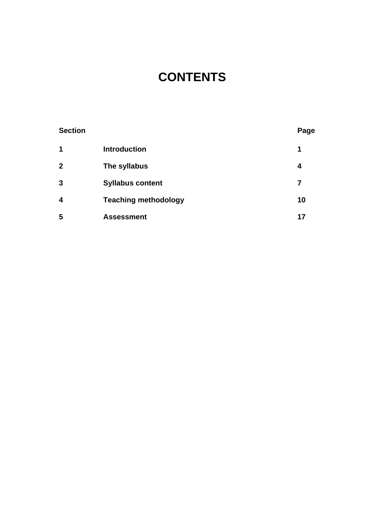## **CONTENTS**

| <b>Section</b>          |                             | Page |
|-------------------------|-----------------------------|------|
| 1                       | <b>Introduction</b>         | 1    |
| $\mathbf{2}$            | The syllabus                | 4    |
| 3                       | <b>Syllabus content</b>     | 7    |
| $\overline{\mathbf{4}}$ | <b>Teaching methodology</b> | 10   |
| 5                       | <b>Assessment</b>           | 17   |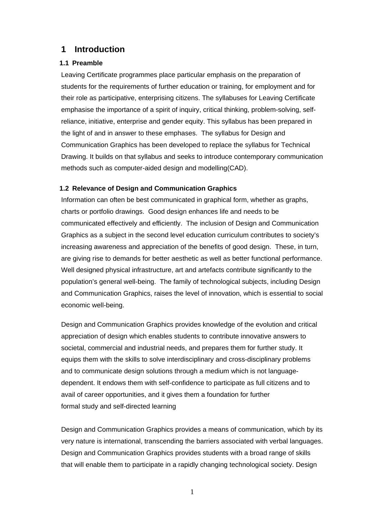## **1 Introduction**

## **1.1 Preamble**

Leaving Certificate programmes place particular emphasis on the preparation of students for the requirements of further education or training, for employment and for their role as participative, enterprising citizens. The syllabuses for Leaving Certificate emphasise the importance of a spirit of inquiry, critical thinking, problem-solving, selfreliance, initiative, enterprise and gender equity. This syllabus has been prepared in the light of and in answer to these emphases. The syllabus for Design and Communication Graphics has been developed to replace the syllabus for Technical Drawing. It builds on that syllabus and seeks to introduce contemporary communication methods such as computer-aided design and modelling(CAD).

## **1.2 Relevance of Design and Communication Graphics**

Information can often be best communicated in graphical form, whether as graphs, charts or portfolio drawings. Good design enhances life and needs to be communicated effectively and efficiently. The inclusion of Design and Communication Graphics as a subject in the second level education curriculum contributes to society's increasing awareness and appreciation of the benefits of good design. These, in turn, are giving rise to demands for better aesthetic as well as better functional performance. Well designed physical infrastructure, art and artefacts contribute significantly to the population's general well-being. The family of technological subjects, including Design and Communication Graphics, raises the level of innovation, which is essential to social economic well-being.

Design and Communication Graphics provides knowledge of the evolution and critical appreciation of design which enables students to contribute innovative answers to societal, commercial and industrial needs, and prepares them for further study. It equips them with the skills to solve interdisciplinary and cross-disciplinary problems and to communicate design solutions through a medium which is not languagedependent. It endows them with self-confidence to participate as full citizens and to avail of career opportunities, and it gives them a foundation for further formal study and self-directed learning

Design and Communication Graphics provides a means of communication, which by its very nature is international, transcending the barriers associated with verbal languages. Design and Communication Graphics provides students with a broad range of skills that will enable them to participate in a rapidly changing technological society. Design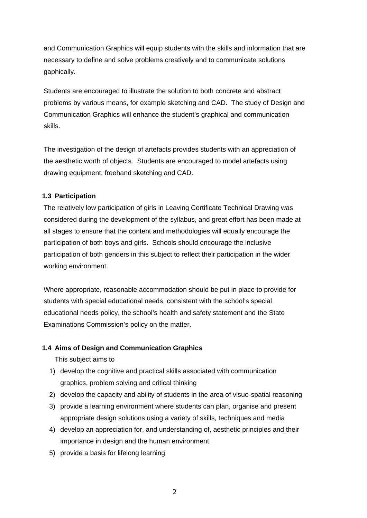and Communication Graphics will equip students with the skills and information that are necessary to define and solve problems creatively and to communicate solutions gaphically.

Students are encouraged to illustrate the solution to both concrete and abstract problems by various means, for example sketching and CAD. The study of Design and Communication Graphics will enhance the student's graphical and communication skills.

The investigation of the design of artefacts provides students with an appreciation of the aesthetic worth of objects. Students are encouraged to model artefacts using drawing equipment, freehand sketching and CAD.

## **1.3 Participation**

The relatively low participation of girls in Leaving Certificate Technical Drawing was considered during the development of the syllabus, and great effort has been made at all stages to ensure that the content and methodologies will equally encourage the participation of both boys and girls. Schools should encourage the inclusive participation of both genders in this subject to reflect their participation in the wider working environment.

Where appropriate, reasonable accommodation should be put in place to provide for students with special educational needs, consistent with the school's special educational needs policy, the school's health and safety statement and the State Examinations Commission's policy on the matter.

## **1.4 Aims of Design and Communication Graphics**

This subject aims to

- 1) develop the cognitive and practical skills associated with communication graphics, problem solving and critical thinking
- 2) develop the capacity and ability of students in the area of visuo-spatial reasoning
- 3) provide a learning environment where students can plan, organise and present appropriate design solutions using a variety of skills, techniques and media
- 4) develop an appreciation for, and understanding of, aesthetic principles and their importance in design and the human environment
- 5) provide a basis for lifelong learning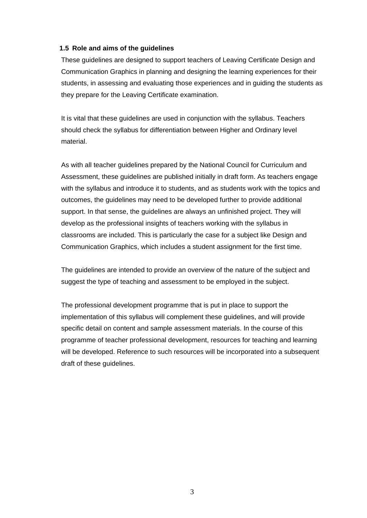## **1.5 Role and aims of the guidelines**

These guidelines are designed to support teachers of Leaving Certificate Design and Communication Graphics in planning and designing the learning experiences for their students, in assessing and evaluating those experiences and in guiding the students as they prepare for the Leaving Certificate examination.

It is vital that these guidelines are used in conjunction with the syllabus. Teachers should check the syllabus for differentiation between Higher and Ordinary level material.

As with all teacher guidelines prepared by the National Council for Curriculum and Assessment, these guidelines are published initially in draft form. As teachers engage with the syllabus and introduce it to students, and as students work with the topics and outcomes, the guidelines may need to be developed further to provide additional support. In that sense, the guidelines are always an unfinished project. They will develop as the professional insights of teachers working with the syllabus in classrooms are included. This is particularly the case for a subject like Design and Communication Graphics, which includes a student assignment for the first time.

The guidelines are intended to provide an overview of the nature of the subject and suggest the type of teaching and assessment to be employed in the subject.

The professional development programme that is put in place to support the implementation of this syllabus will complement these guidelines, and will provide specific detail on content and sample assessment materials. In the course of this programme of teacher professional development, resources for teaching and learning will be developed. Reference to such resources will be incorporated into a subsequent draft of these guidelines.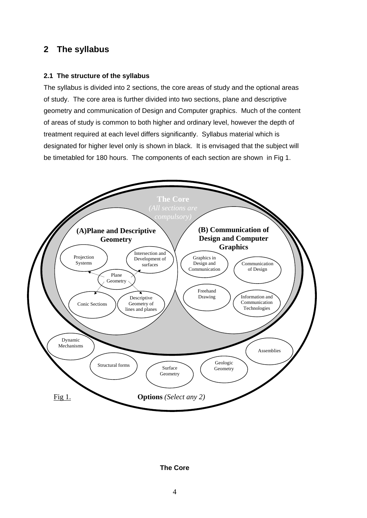## **2 The syllabus**

## **2.1 The structure of the syllabus**

The syllabus is divided into 2 sections, the core areas of study and the optional areas of study. The core area is further divided into two sections, plane and descriptive geometry and communication of Design and Computer graphics. Much of the content of areas of study is common to both higher and ordinary level, however the depth of treatment required at each level differs significantly. Syllabus material which is designated for higher level only is shown in black. It is envisaged that the subject will be timetabled for 180 hours. The components of each section are shown in Fig 1.



**The Core**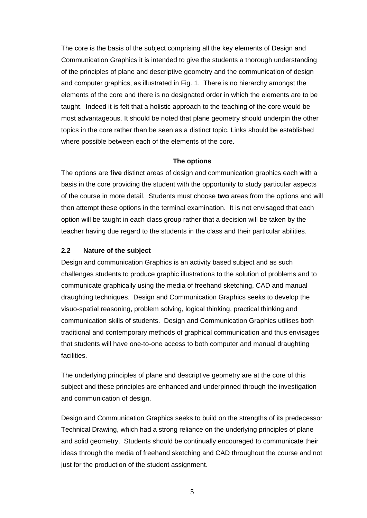The core is the basis of the subject comprising all the key elements of Design and Communication Graphics it is intended to give the students a thorough understanding of the principles of plane and descriptive geometry and the communication of design and computer graphics, as illustrated in Fig. 1. There is no hierarchy amongst the elements of the core and there is no designated order in which the elements are to be taught. Indeed it is felt that a holistic approach to the teaching of the core would be most advantageous. It should be noted that plane geometry should underpin the other topics in the core rather than be seen as a distinct topic. Links should be established where possible between each of the elements of the core.

## **The options**

The options are **five** distinct areas of design and communication graphics each with a basis in the core providing the student with the opportunity to study particular aspects of the course in more detail. Students must choose **two** areas from the options and will then attempt these options in the terminal examination. It is not envisaged that each option will be taught in each class group rather that a decision will be taken by the teacher having due regard to the students in the class and their particular abilities.

## **2.2 Nature of the subject**

Design and communication Graphics is an activity based subject and as such challenges students to produce graphic illustrations to the solution of problems and to communicate graphically using the media of freehand sketching, CAD and manual draughting techniques. Design and Communication Graphics seeks to develop the visuo-spatial reasoning, problem solving, logical thinking, practical thinking and communication skills of students. Design and Communication Graphics utilises both traditional and contemporary methods of graphical communication and thus envisages that students will have one-to-one access to both computer and manual draughting facilities.

The underlying principles of plane and descriptive geometry are at the core of this subject and these principles are enhanced and underpinned through the investigation and communication of design.

Design and Communication Graphics seeks to build on the strengths of its predecessor Technical Drawing, which had a strong reliance on the underlying principles of plane and solid geometry. Students should be continually encouraged to communicate their ideas through the media of freehand sketching and CAD throughout the course and not just for the production of the student assignment.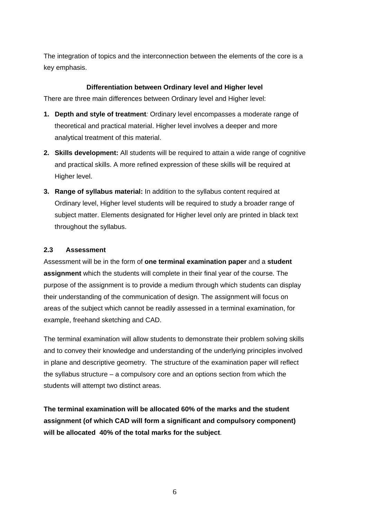The integration of topics and the interconnection between the elements of the core is a key emphasis.

## **Differentiation between Ordinary level and Higher level**

There are three main differences between Ordinary level and Higher level:

- **1. Depth and style of treatment***:* Ordinary level encompasses a moderate range of theoretical and practical material. Higher level involves a deeper and more analytical treatment of this material.
- **2. Skills development:** All students will be required to attain a wide range of cognitive and practical skills. A more refined expression of these skills will be required at Higher level.
- **3. Range of syllabus material:** In addition to the syllabus content required at Ordinary level, Higher level students will be required to study a broader range of subject matter. Elements designated for Higher level only are printed in black text throughout the syllabus.

## **2.3 Assessment**

Assessment will be in the form of **one terminal examination paper** and a **student assignment** which the students will complete in their final year of the course. The purpose of the assignment is to provide a medium through which students can display their understanding of the communication of design. The assignment will focus on areas of the subject which cannot be readily assessed in a terminal examination, for example, freehand sketching and CAD.

The terminal examination will allow students to demonstrate their problem solving skills and to convey their knowledge and understanding of the underlying principles involved in plane and descriptive geometry. The structure of the examination paper will reflect the syllabus structure – a compulsory core and an options section from which the students will attempt two distinct areas.

**The terminal examination will be allocated 60% of the marks and the student assignment (of which CAD will form a significant and compulsory component) will be allocated 40% of the total marks for the subject**.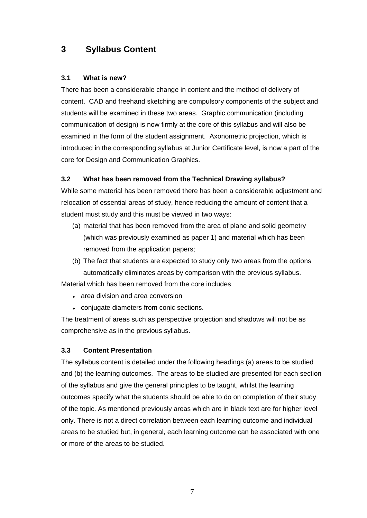## **3 Syllabus Content**

## **3.1 What is new?**

There has been a considerable change in content and the method of delivery of content. CAD and freehand sketching are compulsory components of the subject and students will be examined in these two areas. Graphic communication (including communication of design) is now firmly at the core of this syllabus and will also be examined in the form of the student assignment. Axonometric projection, which is introduced in the corresponding syllabus at Junior Certificate level, is now a part of the core for Design and Communication Graphics.

## **3.2 What has been removed from the Technical Drawing syllabus?**

While some material has been removed there has been a considerable adjustment and relocation of essential areas of study, hence reducing the amount of content that a student must study and this must be viewed in two ways:

- (a) material that has been removed from the area of plane and solid geometry (which was previously examined as paper 1) and material which has been removed from the application papers;
- (b) The fact that students are expected to study only two areas from the options automatically eliminates areas by comparison with the previous syllabus.

Material which has been removed from the core includes

- area division and area conversion
- ♦ conjugate diameters from conic sections.

The treatment of areas such as perspective projection and shadows will not be as comprehensive as in the previous syllabus.

## **3.3 Content Presentation**

The syllabus content is detailed under the following headings (a) areas to be studied and (b) the learning outcomes. The areas to be studied are presented for each section of the syllabus and give the general principles to be taught, whilst the learning outcomes specify what the students should be able to do on completion of their study of the topic. As mentioned previously areas which are in black text are for higher level only. There is not a direct correlation between each learning outcome and individual areas to be studied but, in general, each learning outcome can be associated with one or more of the areas to be studied.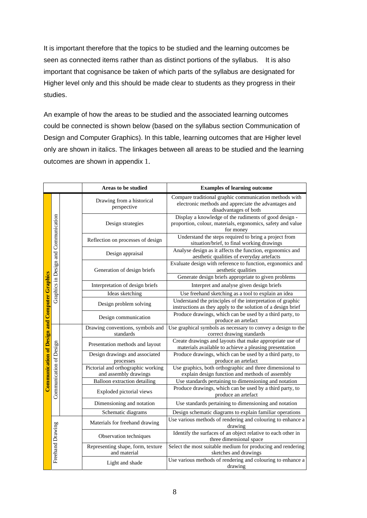It is important therefore that the topics to be studied and the learning outcomes be seen as connected items rather than as distinct portions of the syllabus. It is also important that cognisance be taken of which parts of the syllabus are designated for Higher level only and this should be made clear to students as they progress in their studies.

An example of how the areas to be studied and the associated learning outcomes could be connected is shown below (based on the syllabus section Communication of Design and Computer Graphics). In this table, learning outcomes that are Higher level only are shown in italics. The linkages between all areas to be studied and the learning outcomes are shown in appendix 1.

|                                                      |                                      |  | Areas to be studied                                         | <b>Examples of learning outcome</b>                                                                                                     |  |
|------------------------------------------------------|--------------------------------------|--|-------------------------------------------------------------|-----------------------------------------------------------------------------------------------------------------------------------------|--|
|                                                      | Graphics in Design and Communication |  | Drawing from a historical<br>perspective                    | Compare traditional graphic communication methods with<br>electronic methods and appreciate the advantages and<br>disadvantages of both |  |
|                                                      |                                      |  | Design strategies                                           | Display a knowledge of the rudiments of good design -<br>proportion, colour, materials, ergonomics, safety and value<br>for money       |  |
|                                                      |                                      |  | Reflection on processes of design                           | Understand the steps required to bring a project from<br>situation/brief, to final working drawings                                     |  |
|                                                      |                                      |  | Design appraisal                                            | Analyse design as it affects the function, ergonomics and<br>aesthetic qualities of everyday artefacts                                  |  |
|                                                      |                                      |  | Generation of design briefs                                 | Evaluate design with reference to function, ergonomics and<br>aesthetic qualities                                                       |  |
|                                                      |                                      |  |                                                             | Generate design briefs appropriate to given problems                                                                                    |  |
|                                                      |                                      |  | Interpretation of design briefs                             | Interpret and analyse given design briefs                                                                                               |  |
|                                                      |                                      |  | Ideas sketching                                             | Use freehand sketching as a tool to explain an idea                                                                                     |  |
|                                                      |                                      |  | Design problem solving                                      | Understand the principles of the interpretation of graphic<br>instructions as they apply to the solution of a design brief              |  |
| <b>Communication of Design and Computer Graphics</b> |                                      |  | Design communication                                        | Produce drawings, which can be used by a third party, to<br>produce an artefact                                                         |  |
|                                                      |                                      |  | Drawing conventions, symbols and<br>standards               | Use graphical symbols as necessary to convey a design to the<br>correct drawing standards                                               |  |
|                                                      |                                      |  | Presentation methods and layout                             | Create drawings and layouts that make appropriate use of<br>materials available to achieve a pleasing presentation                      |  |
|                                                      | Communication of Design              |  | Design drawings and associated<br>processes                 | Produce drawings, which can be used by a third party, to<br>produce an artefact                                                         |  |
|                                                      |                                      |  | Pictorial and orthographic working<br>and assembly drawings | Use graphics, both orthographic and three dimensional to<br>explain design function and methods of assembly                             |  |
|                                                      |                                      |  | <b>Balloon</b> extraction detailing                         | Use standards pertaining to dimensioning and notation                                                                                   |  |
|                                                      |                                      |  | Exploded pictorial views                                    | Produce drawings, which can be used by a third party, to<br>produce an artefact                                                         |  |
|                                                      |                                      |  | Dimensioning and notation                                   | Use standards pertaining to dimensioning and notation                                                                                   |  |
|                                                      |                                      |  | Schematic diagrams                                          | Design schematic diagrams to explain familiar operations                                                                                |  |
|                                                      |                                      |  | Materials for freehand drawing                              | Use various methods of rendering and colouring to enhance a<br>drawing                                                                  |  |
|                                                      |                                      |  | Observation techniques                                      | Identify the surfaces of an object relative to each other in<br>three dimensional space                                                 |  |
|                                                      | Freehand Drawing                     |  | Representing shape, form, texture<br>and material           | Select the most suitable medium for producing and rendering<br>sketches and drawings                                                    |  |
|                                                      |                                      |  | Light and shade                                             | Use various methods of rendering and colouring to enhance a<br>drawing                                                                  |  |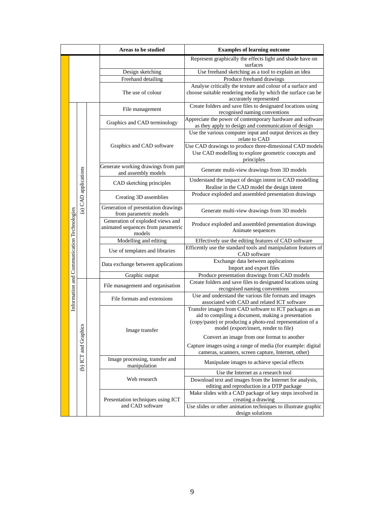|                                            |                      |                      | Areas to be studied                                                              | <b>Examples of learning outcome</b>                                                                                                                                                                                  |  |
|--------------------------------------------|----------------------|----------------------|----------------------------------------------------------------------------------|----------------------------------------------------------------------------------------------------------------------------------------------------------------------------------------------------------------------|--|
|                                            |                      |                      |                                                                                  | Represent graphically the effects light and shade have on                                                                                                                                                            |  |
|                                            |                      |                      |                                                                                  | surfaces                                                                                                                                                                                                             |  |
|                                            |                      |                      | Design sketching<br>Freehand detailing                                           | Use freehand sketching as a tool to explain an idea<br>Produce freehand drawings                                                                                                                                     |  |
|                                            |                      |                      | The use of colour                                                                | Analyse critically the texture and colour of a surface and<br>choose suitable rendering media by which the surface can be<br>accurately represented                                                                  |  |
| Information and Communication Technologies |                      |                      | File management                                                                  | Create folders and save files to designated locations using<br>recognised naming conventions                                                                                                                         |  |
|                                            |                      |                      | Graphics and CAD terminology                                                     | Appreciate the power of contemporary hardware and software<br>as they apply to design and communication of design                                                                                                    |  |
|                                            |                      |                      | Graphics and CAD software                                                        | Use the various computer input and output devices as they<br>relate to CAD<br>Use CAD drawings to produce three-dimesional CAD models<br>Use CAD modelling to explore geometric concepts and                         |  |
|                                            |                      |                      | Generate working drawings from part                                              | principles<br>Generate multi-view drawings from 3D models                                                                                                                                                            |  |
|                                            | (a) CAD applications |                      | and assembly models<br>CAD sketching principles                                  | Understand the impact of design intent in CAD modelling<br>Realise in the CAD model the design intent                                                                                                                |  |
|                                            |                      |                      | Creating 3D assemblies                                                           | Produce exploded and assembled presentation drawings                                                                                                                                                                 |  |
|                                            |                      |                      | Generation of presentation drawings<br>from parametric models                    | Generate multi-view drawings from 3D models                                                                                                                                                                          |  |
|                                            |                      |                      | Generation of exploded views and<br>animated sequences from parametric<br>models | Produce exploded and assembled presentation drawings<br>Animate sequences                                                                                                                                            |  |
|                                            |                      |                      | Modelling and editing                                                            | Effectively use the editing features of CAD software                                                                                                                                                                 |  |
|                                            |                      |                      | Use of templates and libraries                                                   | Efficently use the standard tools and manipulation features of<br>CAD software                                                                                                                                       |  |
|                                            |                      |                      | Data exchange between applications                                               | Exchange data between applications<br>Import and export files                                                                                                                                                        |  |
|                                            |                      |                      | Graphic output                                                                   | Produce presentation drawings from CAD models                                                                                                                                                                        |  |
|                                            |                      |                      | File management and organisation                                                 | Create folders and save files to designated locations using<br>recognised naming conventions                                                                                                                         |  |
|                                            |                      |                      | File formats and extensions                                                      | Use and understand the various file formats and images<br>associated with CAD and related ICT software                                                                                                               |  |
|                                            |                      |                      | Image transfer                                                                   | Transfer images from CAD software to ICT packages as an<br>aid to compiling a document, making a presentation<br>(copy/paste) or producing a photo-real representation of a<br>model (export/insert, render to file) |  |
|                                            |                      | (b) ICT and Graphics |                                                                                  | Convert an image from one format to another<br>Capture images using a range of media (for example: digital<br>cameras, scanners, screen capture, Internet, other)                                                    |  |
|                                            |                      |                      | Image processing, transfer and<br>manipulation                                   | Manipulate images to achieve special effects                                                                                                                                                                         |  |
|                                            |                      |                      |                                                                                  | Use the Internet as a research tool                                                                                                                                                                                  |  |
|                                            |                      |                      | Web research                                                                     | Download text and images from the Internet for analysis,<br>editing and reproduction in a DTP package                                                                                                                |  |
|                                            |                      |                      | Presentation techniques using ICT                                                | Make slides with a CAD package of key steps involved in<br>creating a drawing                                                                                                                                        |  |
|                                            |                      |                      | and CAD software                                                                 | Use slides or other animation techniques to illustrate graphic<br>design solutions                                                                                                                                   |  |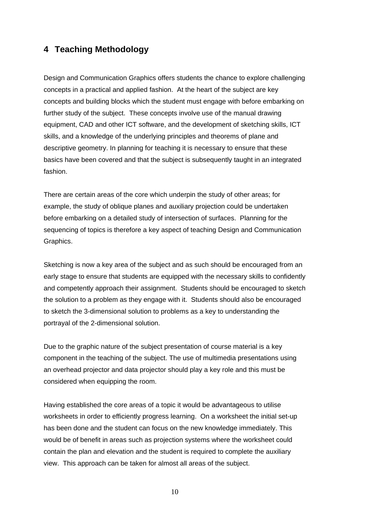## **4 Teaching Methodology**

Design and Communication Graphics offers students the chance to explore challenging concepts in a practical and applied fashion. At the heart of the subject are key concepts and building blocks which the student must engage with before embarking on further study of the subject. These concepts involve use of the manual drawing equipment, CAD and other ICT software, and the development of sketching skills, ICT skills, and a knowledge of the underlying principles and theorems of plane and descriptive geometry. In planning for teaching it is necessary to ensure that these basics have been covered and that the subject is subsequently taught in an integrated fashion.

There are certain areas of the core which underpin the study of other areas; for example, the study of oblique planes and auxiliary projection could be undertaken before embarking on a detailed study of intersection of surfaces. Planning for the sequencing of topics is therefore a key aspect of teaching Design and Communication Graphics.

Sketching is now a key area of the subject and as such should be encouraged from an early stage to ensure that students are equipped with the necessary skills to confidently and competently approach their assignment. Students should be encouraged to sketch the solution to a problem as they engage with it. Students should also be encouraged to sketch the 3-dimensional solution to problems as a key to understanding the portrayal of the 2-dimensional solution.

Due to the graphic nature of the subject presentation of course material is a key component in the teaching of the subject. The use of multimedia presentations using an overhead projector and data projector should play a key role and this must be considered when equipping the room.

Having established the core areas of a topic it would be advantageous to utilise worksheets in order to efficiently progress learning. On a worksheet the initial set-up has been done and the student can focus on the new knowledge immediately. This would be of benefit in areas such as projection systems where the worksheet could contain the plan and elevation and the student is required to complete the auxiliary view. This approach can be taken for almost all areas of the subject.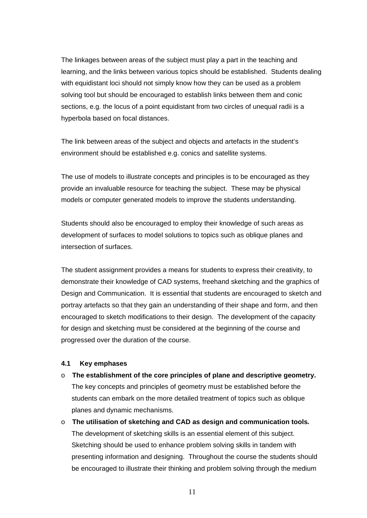The linkages between areas of the subject must play a part in the teaching and learning, and the links between various topics should be established. Students dealing with equidistant loci should not simply know how they can be used as a problem solving tool but should be encouraged to establish links between them and conic sections, e.g. the locus of a point equidistant from two circles of unequal radii is a hyperbola based on focal distances.

The link between areas of the subject and objects and artefacts in the student's environment should be established e.g. conics and satellite systems.

The use of models to illustrate concepts and principles is to be encouraged as they provide an invaluable resource for teaching the subject. These may be physical models or computer generated models to improve the students understanding.

Students should also be encouraged to employ their knowledge of such areas as development of surfaces to model solutions to topics such as oblique planes and intersection of surfaces.

The student assignment provides a means for students to express their creativity, to demonstrate their knowledge of CAD systems, freehand sketching and the graphics of Design and Communication. It is essential that students are encouraged to sketch and portray artefacts so that they gain an understanding of their shape and form, and then encouraged to sketch modifications to their design. The development of the capacity for design and sketching must be considered at the beginning of the course and progressed over the duration of the course.

#### **4.1 Key emphases**

- o **The establishment of the core principles of plane and descriptive geometry.** The key concepts and principles of geometry must be established before the students can embark on the more detailed treatment of topics such as oblique planes and dynamic mechanisms.
- o **The utilisation of sketching and CAD as design and communication tools***.*  The development of sketching skills is an essential element of this subject. Sketching should be used to enhance problem solving skills in tandem with presenting information and designing. Throughout the course the students should be encouraged to illustrate their thinking and problem solving through the medium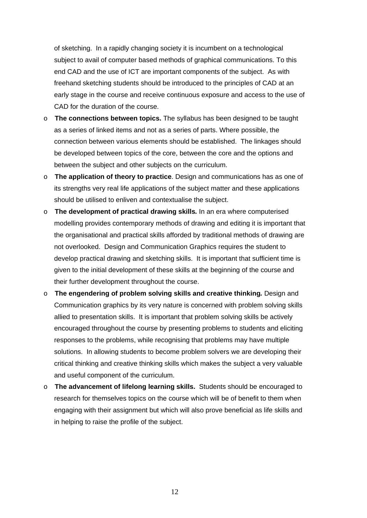of sketching. In a rapidly changing society it is incumbent on a technological subject to avail of computer based methods of graphical communications. To this end CAD and the use of ICT are important components of the subject. As with freehand sketching students should be introduced to the principles of CAD at an early stage in the course and receive continuous exposure and access to the use of CAD for the duration of the course.

- o **The connections between topics.** The syllabus has been designed to be taught as a series of linked items and not as a series of parts. Where possible, the connection between various elements should be established. The linkages should be developed between topics of the core, between the core and the options and between the subject and other subjects on the curriculum.
- o **The application of theory to practice**. Design and communications has as one of its strengths very real life applications of the subject matter and these applications should be utilised to enliven and contextualise the subject.
- o **The development of practical drawing skills***.* In an era where computerised modelling provides contemporary methods of drawing and editing it is important that the organisational and practical skills afforded by traditional methods of drawing are not overlooked. Design and Communication Graphics requires the student to develop practical drawing and sketching skills. It is important that sufficient time is given to the initial development of these skills at the beginning of the course and their further development throughout the course.
- o **The engendering of problem solving skills and creative thinking***.* Design and Communication graphics by its very nature is concerned with problem solving skills allied to presentation skills. It is important that problem solving skills be actively encouraged throughout the course by presenting problems to students and eliciting responses to the problems, while recognising that problems may have multiple solutions. In allowing students to become problem solvers we are developing their critical thinking and creative thinking skills which makes the subject a very valuable and useful component of the curriculum.
- o **The advancement of lifelong learning skills.**Students should be encouraged to research for themselves topics on the course which will be of benefit to them when engaging with their assignment but which will also prove beneficial as life skills and in helping to raise the profile of the subject.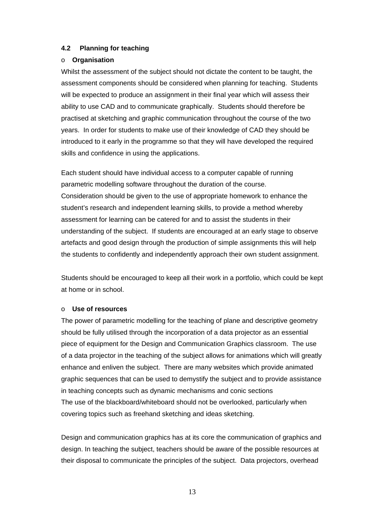## **4.2 Planning for teaching**

## o **Organisation**

Whilst the assessment of the subject should not dictate the content to be taught, the assessment components should be considered when planning for teaching. Students will be expected to produce an assignment in their final year which will assess their ability to use CAD and to communicate graphically. Students should therefore be practised at sketching and graphic communication throughout the course of the two years. In order for students to make use of their knowledge of CAD they should be introduced to it early in the programme so that they will have developed the required skills and confidence in using the applications.

Each student should have individual access to a computer capable of running parametric modelling software throughout the duration of the course. Consideration should be given to the use of appropriate homework to enhance the student's research and independent learning skills, to provide a method whereby assessment for learning can be catered for and to assist the students in their understanding of the subject. If students are encouraged at an early stage to observe artefacts and good design through the production of simple assignments this will help the students to confidently and independently approach their own student assignment.

Students should be encouraged to keep all their work in a portfolio, which could be kept at home or in school.

## o **Use of resources**

The power of parametric modelling for the teaching of plane and descriptive geometry should be fully utilised through the incorporation of a data projector as an essential piece of equipment for the Design and Communication Graphics classroom. The use of a data projector in the teaching of the subject allows for animations which will greatly enhance and enliven the subject. There are many websites which provide animated graphic sequences that can be used to demystify the subject and to provide assistance in teaching concepts such as dynamic mechanisms and conic sections The use of the blackboard/whiteboard should not be overlooked, particularly when covering topics such as freehand sketching and ideas sketching.

Design and communication graphics has at its core the communication of graphics and design. In teaching the subject, teachers should be aware of the possible resources at their disposal to communicate the principles of the subject. Data projectors, overhead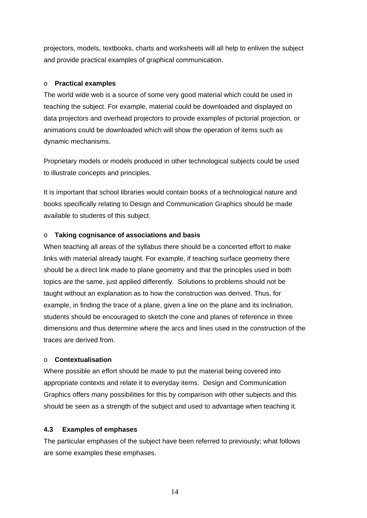projectors, models, textbooks, charts and worksheets will all help to enliven the subject and provide practical examples of graphical communication.

## o **Practical examples**

The world wide web is a source of some very good material which could be used in teaching the subject. For example, material could be downloaded and displayed on data projectors and overhead projectors to provide examples of pictorial projection, or animations could be downloaded which will show the operation of items such as dynamic mechanisms.

Proprietary models or models produced in other technological subjects could be used to illustrate concepts and principles.

It is important that school libraries would contain books of a technological nature and books specifically relating to Design and Communication Graphics should be made available to students of this subject.

## o **Taking cognisance of associations and basis**

When teaching all areas of the syllabus there should be a concerted effort to make links with material already taught. For example, if teaching surface geometry there should be a direct link made to plane geometry and that the principles used in both topics are the same, just applied differently. Solutions to problems should not be taught without an explanation as to how the construction was derived. Thus, for example, in finding the trace of a plane, given a line on the plane and its inclination, students should be encouraged to sketch the cone and planes of reference in three dimensions and thus determine where the arcs and lines used in the construction of the traces are derived from.

## o **Contextualisation**

Where possible an effort should be made to put the material being covered into appropriate contexts and relate it to everyday items. Design and Communication Graphics offers many possibilities for this by comparison with other subjects and this should be seen as a strength of the subject and used to advantage when teaching it.

## **4.3 Examples of emphases**

The particular emphases of the subject have been referred to previously; what follows are some examples these emphases.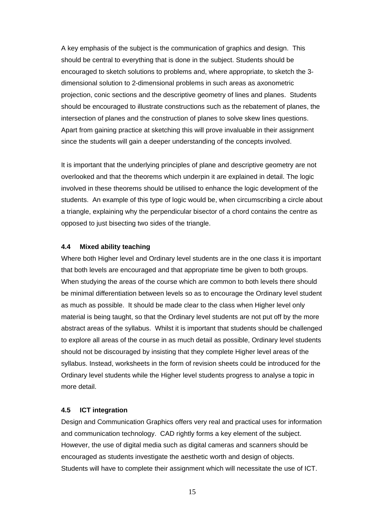A key emphasis of the subject is the communication of graphics and design. This should be central to everything that is done in the subject. Students should be encouraged to sketch solutions to problems and, where appropriate, to sketch the 3 dimensional solution to 2-dimensional problems in such areas as axonometric projection, conic sections and the descriptive geometry of lines and planes. Students should be encouraged to illustrate constructions such as the rebatement of planes, the intersection of planes and the construction of planes to solve skew lines questions. Apart from gaining practice at sketching this will prove invaluable in their assignment since the students will gain a deeper understanding of the concepts involved.

It is important that the underlying principles of plane and descriptive geometry are not overlooked and that the theorems which underpin it are explained in detail. The logic involved in these theorems should be utilised to enhance the logic development of the students. An example of this type of logic would be, when circumscribing a circle about a triangle, explaining why the perpendicular bisector of a chord contains the centre as opposed to just bisecting two sides of the triangle.

#### **4.4 Mixed ability teaching**

Where both Higher level and Ordinary level students are in the one class it is important that both levels are encouraged and that appropriate time be given to both groups. When studying the areas of the course which are common to both levels there should be minimal differentiation between levels so as to encourage the Ordinary level student as much as possible. It should be made clear to the class when Higher level only material is being taught, so that the Ordinary level students are not put off by the more abstract areas of the syllabus. Whilst it is important that students should be challenged to explore all areas of the course in as much detail as possible, Ordinary level students should not be discouraged by insisting that they complete Higher level areas of the syllabus. Instead, worksheets in the form of revision sheets could be introduced for the Ordinary level students while the Higher level students progress to analyse a topic in more detail.

#### **4.5 ICT integration**

Design and Communication Graphics offers very real and practical uses for information and communication technology. CAD rightly forms a key element of the subject. However, the use of digital media such as digital cameras and scanners should be encouraged as students investigate the aesthetic worth and design of objects. Students will have to complete their assignment which will necessitate the use of ICT.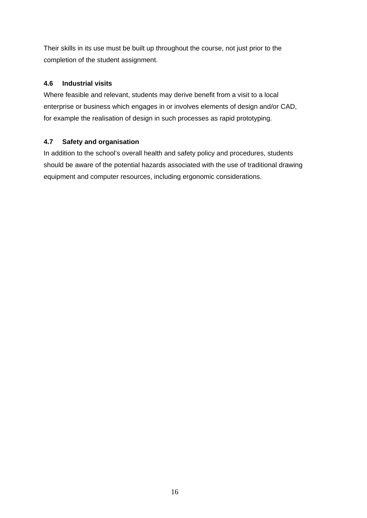Their skills in its use must be built up throughout the course, not just prior to the completion of the student assignment.

## **4.6 Industrial visits**

Where feasible and relevant, students may derive benefit from a visit to a local enterprise or business which engages in or involves elements of design and/or CAD, for example the realisation of design in such processes as rapid prototyping.

## **4.7 Safety and organisation**

In addition to the school's overall health and safety policy and procedures, students should be aware of the potential hazards associated with the use of traditional drawing equipment and computer resources, including ergonomic considerations.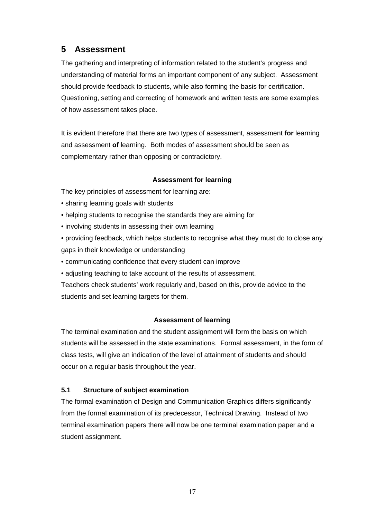## **5 Assessment**

The gathering and interpreting of information related to the student's progress and understanding of material forms an important component of any subject. Assessment should provide feedback to students, while also forming the basis for certification. Questioning, setting and correcting of homework and written tests are some examples of how assessment takes place.

It is evident therefore that there are two types of assessment, assessment **for** learning and assessment **of** learning. Both modes of assessment should be seen as complementary rather than opposing or contradictory.

## **Assessment for learning**

The key principles of assessment for learning are:

- sharing learning goals with students
- helping students to recognise the standards they are aiming for
- involving students in assessing their own learning
- providing feedback, which helps students to recognise what they must do to close any gaps in their knowledge or understanding
- communicating confidence that every student can improve
- adjusting teaching to take account of the results of assessment.

Teachers check students' work regularly and, based on this, provide advice to the students and set learning targets for them.

## **Assessment of learning**

The terminal examination and the student assignment will form the basis on which students will be assessed in the state examinations. Formal assessment, in the form of class tests, will give an indication of the level of attainment of students and should occur on a regular basis throughout the year.

## **5.1 Structure of subject examination**

The formal examination of Design and Communication Graphics differs significantly from the formal examination of its predecessor, Technical Drawing. Instead of two terminal examination papers there will now be one terminal examination paper and a student assignment.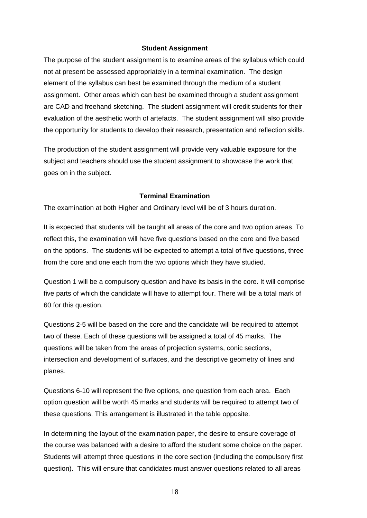#### **Student Assignment**

The purpose of the student assignment is to examine areas of the syllabus which could not at present be assessed appropriately in a terminal examination. The design element of the syllabus can best be examined through the medium of a student assignment. Other areas which can best be examined through a student assignment are CAD and freehand sketching. The student assignment will credit students for their evaluation of the aesthetic worth of artefacts. The student assignment will also provide the opportunity for students to develop their research, presentation and reflection skills.

The production of the student assignment will provide very valuable exposure for the subject and teachers should use the student assignment to showcase the work that goes on in the subject.

## **Terminal Examination**

The examination at both Higher and Ordinary level will be of 3 hours duration.

It is expected that students will be taught all areas of the core and two option areas. To reflect this, the examination will have five questions based on the core and five based on the options. The students will be expected to attempt a total of five questions, three from the core and one each from the two options which they have studied.

Question 1 will be a compulsory question and have its basis in the core. It will comprise five parts of which the candidate will have to attempt four. There will be a total mark of 60 for this question.

Questions 2-5 will be based on the core and the candidate will be required to attempt two of these. Each of these questions will be assigned a total of 45 marks. The questions will be taken from the areas of projection systems, conic sections, intersection and development of surfaces, and the descriptive geometry of lines and planes.

Questions 6-10 will represent the five options, one question from each area. Each option question will be worth 45 marks and students will be required to attempt two of these questions. This arrangement is illustrated in the table opposite.

In determining the layout of the examination paper, the desire to ensure coverage of the course was balanced with a desire to afford the student some choice on the paper. Students will attempt three questions in the core section (including the compulsory first question). This will ensure that candidates must answer questions related to all areas